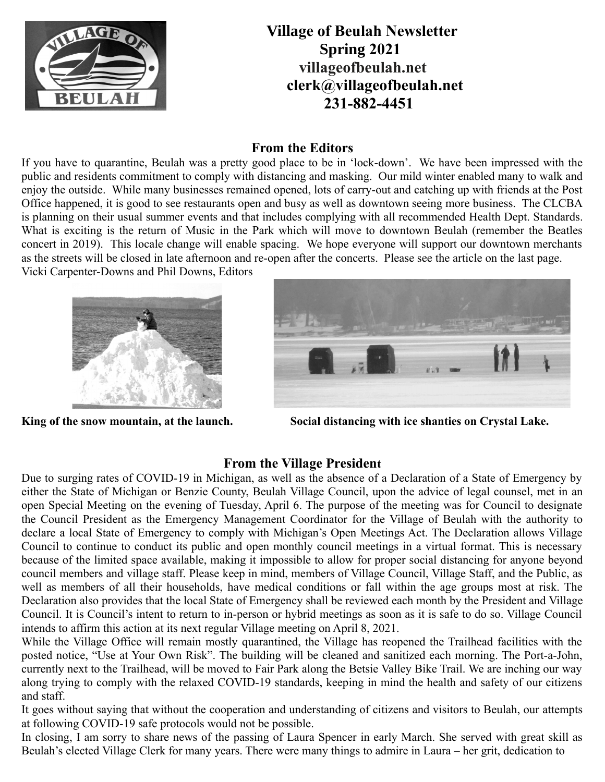

 **Village of Beulah Newsletter Spring 2021 villageofbeulah.net [clerk@villageofbeulah.net](mailto:clerk@villageofbeulah.net) 231-882-4451**

#### **From the Editors**

If you have to quarantine, Beulah was a pretty good place to be in 'lock-down'. We have been impressed with the public and residents commitment to comply with distancing and masking. Our mild winter enabled many to walk and enjoy the outside. While many businesses remained opened, lots of carry-out and catching up with friends at the Post Office happened, it is good to see restaurants open and busy as well as downtown seeing more business. The CLCBA is planning on their usual summer events and that includes complying with all recommended Health Dept. Standards. What is exciting is the return of Music in the Park which will move to downtown Beulah (remember the Beatles concert in 2019). This locale change will enable spacing. We hope everyone will support our downtown merchants as the streets will be closed in late afternoon and re-open after the concerts. Please see the article on the last page. Vicki Carpenter-Downs and Phil Downs, Editors





**King of the snow mountain, at the launch. Social distancing with ice shanties on Crystal Lake.**

### **From the Village President**

Due to surging rates of COVID-19 in Michigan, as well as the absence of a Declaration of a State of Emergency by either the State of Michigan or Benzie County, Beulah Village Council, upon the advice of legal counsel, met in an open Special Meeting on the evening of Tuesday, April 6. The purpose of the meeting was for Council to designate the Council President as the Emergency Management Coordinator for the Village of Beulah with the authority to declare a local State of Emergency to comply with Michigan's Open Meetings Act. The Declaration allows Village Council to continue to conduct its public and open monthly council meetings in a virtual format. This is necessary because of the limited space available, making it impossible to allow for proper social distancing for anyone beyond council members and village staff. Please keep in mind, members of Village Council, Village Staff, and the Public, as well as members of all their households, have medical conditions or fall within the age groups most at risk. The Declaration also provides that the local State of Emergency shall be reviewed each month by the President and Village Council. It is Council's intent to return to in-person or hybrid meetings as soon as it is safe to do so. Village Council intends to affirm this action at its next regular Village meeting on April 8, 2021.

While the Village Office will remain mostly quarantined, the Village has reopened the Trailhead facilities with the posted notice, "Use at Your Own Risk". The building will be cleaned and sanitized each morning. The Port-a-John, currently next to the Trailhead, will be moved to Fair Park along the Betsie Valley Bike Trail. We are inching our way along trying to comply with the relaxed COVID-19 standards, keeping in mind the health and safety of our citizens and staff.

It goes without saying that without the cooperation and understanding of citizens and visitors to Beulah, our attempts at following COVID-19 safe protocols would not be possible.

In closing, I am sorry to share news of the passing of Laura Spencer in early March. She served with great skill as Beulah's elected Village Clerk for many years. There were many things to admire in Laura – her grit, dedication to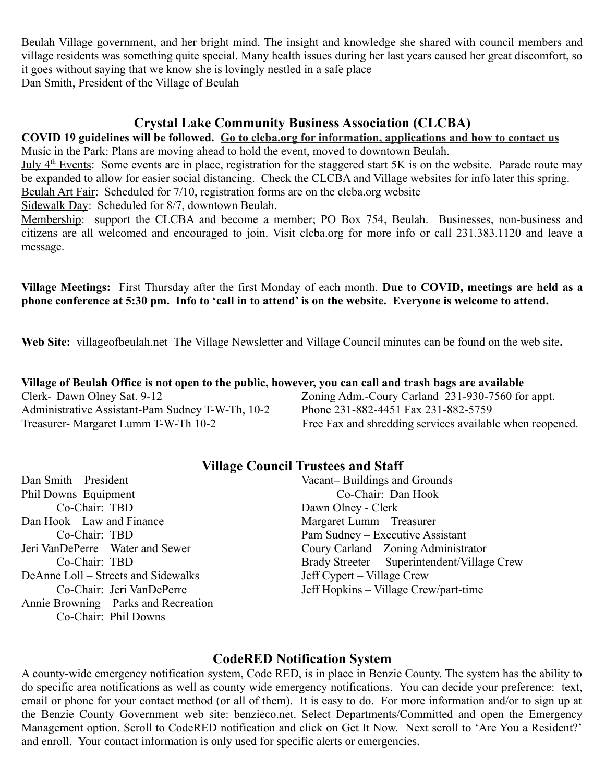Beulah Village government, and her bright mind. The insight and knowledge she shared with council members and village residents was something quite special. Many health issues during her last years caused her great discomfort, so it goes without saying that we know she is lovingly nestled in a safe place Dan Smith, President of the Village of Beulah

#### **Crystal Lake Community Business Association (CLCBA)**

# **COVID 19 guidelines will be followed. Go to clcba.org for information, applications and how to contact us**

Music in the Park: Plans are moving ahead to hold the event, moved to downtown Beulah. July 4<sup>th</sup> Events: Some events are in place, registration for the staggered start 5K is on the website. Parade route may be expanded to allow for easier social distancing. Check the CLCBA and Village websites for info later this spring. Beulah Art Fair: Scheduled for 7/10, registration forms are on the clcba.org website

Sidewalk Day: Scheduled for 8/7, downtown Beulah.

Membership: support the CLCBA and become a member; PO Box 754, Beulah. Businesses, non-business and citizens are all welcomed and encouraged to join. Visit clcba.org for more info or call 231.383.1120 and leave a message.

**Village Meetings:** First Thursday after the first Monday of each month. **Due to COVID, meetings are held as a phone conference at 5:30 pm. Info to 'call in to attend' is on the website. Everyone is welcome to attend.** 

**Web Site:** villageofbeulah.net The Village Newsletter and Village Council minutes can be found on the web site**.**

| Village of Beulah Office is not open to the public, however, you can call and trash bags are available |                                                          |
|--------------------------------------------------------------------------------------------------------|----------------------------------------------------------|
| Clerk-Dawn Olney Sat. 9-12                                                                             | Zoning Adm.-Coury Carland 231-930-7560 for appt.         |
| Administrative Assistant-Pam Sudney T-W-Th, 10-2                                                       | Phone 231-882-4451 Fax 231-882-5759                      |
| Treasurer- Margaret Lumm T-W-Th 10-2                                                                   | Free Fax and shredding services available when reopened. |

#### **Village Council Trustees and Staff**

Phil Downs–Equipment Co-Chair: Dan Hook Co-Chair: TBD Dawn Olney - Clerk Dan Hook – Law and Finance Margaret Lumm – Treasurer Jeri VanDePerre – Water and Sewer Coury Carland – Zoning Administrator DeAnne Loll – Streets and Sidewalks Jeff Cypert – Village Crew Annie Browning – Parks and Recreation Co-Chair: Phil Downs

Dan Smith – President Vacant**–** Buildings and Grounds Co-Chair: TBD Pam Sudney – Executive Assistant Co-Chair: TBD Brady Streeter – Superintendent/Village Crew Co-Chair: Jeri VanDePerre Jeff Hopkins – Village Crew/part-time

### **CodeRED Notification System**

A county-wide emergency notification system, Code RED, is in place in Benzie County. The system has the ability to do specific area notifications as well as county wide emergency notifications. You can decide your preference: text, email or phone for your contact method (or all of them). It is easy to do. For more information and/or to sign up at the Benzie County Government web site: benzieco.net. Select Departments/Committed and open the Emergency Management option. Scroll to CodeRED notification and click on Get It Now. Next scroll to 'Are You a Resident?' and enroll. Your contact information is only used for specific alerts or emergencies.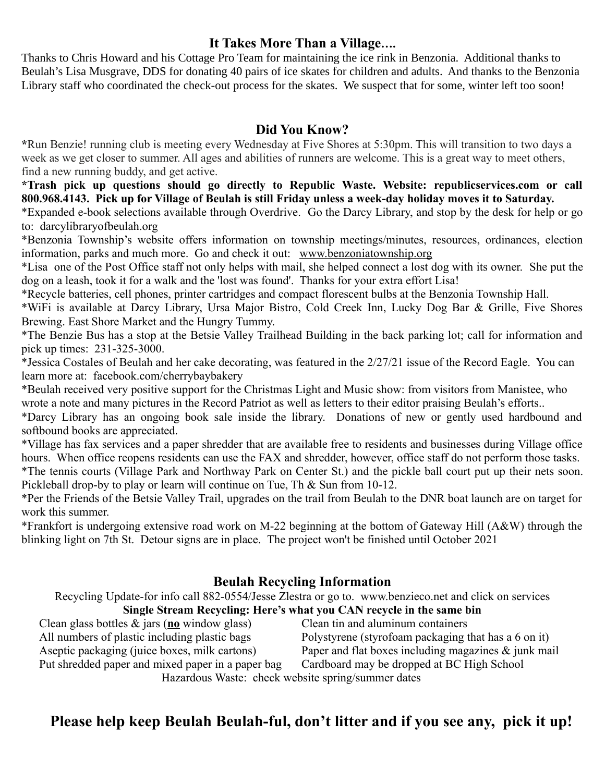#### **It Takes More Than a Village….**

Thanks to Chris Howard and his Cottage Pro Team for maintaining the ice rink in Benzonia. Additional thanks to Beulah's Lisa Musgrave, DDS for donating 40 pairs of ice skates for children and adults. And thanks to the Benzonia Library staff who coordinated the check-out process for the skates. We suspect that for some, winter left too soon!

#### **Did You Know?**

**\***Run Benzie! running club is meeting every Wednesday at Five Shores at 5:30pm. This will transition to two days a week as we get closer to summer. All ages and abilities of runners are welcome. This is a great way to meet others, find a new running buddy, and get active.

**\*Trash pick up questions should go directly to Republic Waste. Website: republicservices.com or call 800.968.4143. Pick up for Village of Beulah is still Friday unless a week-day holiday moves it to Saturday.**

\*Expanded e-book selections available through Overdrive. Go the Darcy Library, and stop by the desk for help or go to: darcylibraryofbeulah.org

\*Benzonia Township's website offers information on township meetings/minutes, resources, ordinances, election information, parks and much more. Go and check it out: [www.benzoniatownship.org](http://www.benzoniatownship.org/)

\*Lisa one of the Post Office staff not only helps with mail, she helped connect a lost dog with its owner. She put the dog on a leash, took it for a walk and the 'lost was found'. Thanks for your extra effort Lisa!

\*Recycle batteries, cell phones, printer cartridges and compact florescent bulbs at the Benzonia Township Hall.

\*WiFi is available at Darcy Library, Ursa Major Bistro, Cold Creek Inn, Lucky Dog Bar & Grille, Five Shores Brewing. East Shore Market and the Hungry Tummy.

\*The Benzie Bus has a stop at the Betsie Valley Trailhead Building in the back parking lot; call for information and pick up times: 231-325-3000.

\*Jessica Costales of Beulah and her cake decorating, was featured in the 2/27/21 issue of the Record Eagle. You can learn more at: facebook.com/cherrybaybakery

\*Beulah received very positive support for the Christmas Light and Music show: from visitors from Manistee, who wrote a note and many pictures in the Record Patriot as well as letters to their editor praising Beulah's efforts..

\*Darcy Library has an ongoing book sale inside the library. Donations of new or gently used hardbound and softbound books are appreciated.

\*Village has fax services and a paper shredder that are available free to residents and businesses during Village office hours. When office reopens residents can use the FAX and shredder, however, office staff do not perform those tasks. \*The tennis courts (Village Park and Northway Park on Center St.) and the pickle ball court put up their nets soon. Pickleball drop-by to play or learn will continue on Tue, Th & Sun from 10-12.

\*Per the Friends of the Betsie Valley Trail, upgrades on the trail from Beulah to the DNR boat launch are on target for work this summer.

\*Frankfort is undergoing extensive road work on M-22 beginning at the bottom of Gateway Hill (A&W) through the blinking light on 7th St. Detour signs are in place. The project won't be finished until October 2021

## **Beulah Recycling Information**

Recycling Update-for info call 882-0554/Jesse Zlestra or go to. [www.benzieco.net](http://www.benzieco.net/) and click on services **Single Stream Recycling: Here's what you CAN recycle in the same bin**

Clean glass bottles & jars (**no** window glass) Clean tin and aluminum containers Aseptic packaging (juice boxes, milk cartons) Paper and flat boxes including magazines & junk mail Put shredded paper and mixed paper in a paper bag Cardboard may be dropped at BC High School

All numbers of plastic including plastic bags Polystyrene (styrofoam packaging that has a 6 on it)

Hazardous Waste: check website spring/summer dates

# **Please help keep Beulah Beulah-ful, don't litter and if you see any, pick it up!**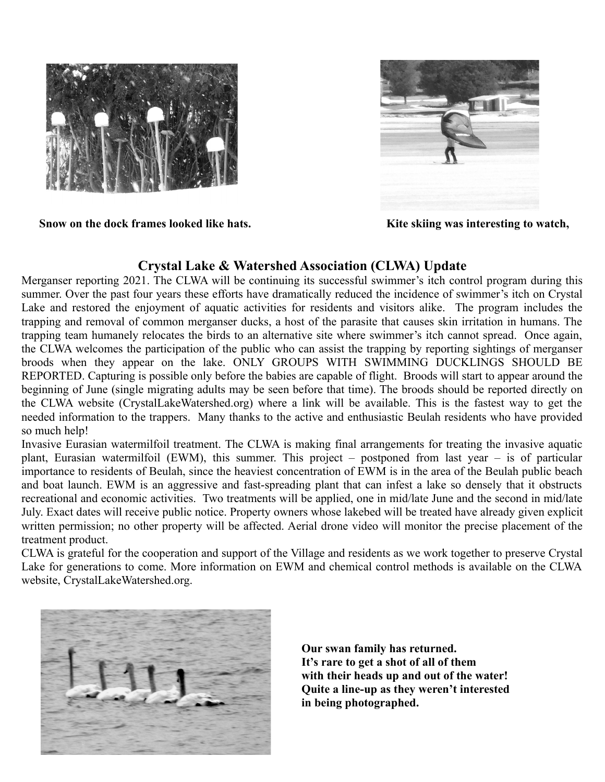



**Snow on the dock frames looked like hats. Kite skiing was interesting to watch,** 

### **Crystal Lake & Watershed Association (CLWA) Update**

Merganser reporting 2021. The CLWA will be continuing its successful swimmer's itch control program during this summer. Over the past four years these efforts have dramatically reduced the incidence of swimmer's itch on Crystal Lake and restored the enjoyment of aquatic activities for residents and visitors alike. The program includes the trapping and removal of common merganser ducks, a host of the parasite that causes skin irritation in humans. The trapping team humanely relocates the birds to an alternative site where swimmer's itch cannot spread. Once again, the CLWA welcomes the participation of the public who can assist the trapping by reporting sightings of merganser broods when they appear on the lake. ONLY GROUPS WITH SWIMMING DUCKLINGS SHOULD BE REPORTED. Capturing is possible only before the babies are capable of flight. Broods will start to appear around the beginning of June (single migrating adults may be seen before that time). The broods should be reported directly on the CLWA website (CrystalLakeWatershed.org) where a link will be available. This is the fastest way to get the needed information to the trappers. Many thanks to the active and enthusiastic Beulah residents who have provided so much help!

Invasive Eurasian watermilfoil treatment. The CLWA is making final arrangements for treating the invasive aquatic plant, Eurasian watermilfoil (EWM), this summer. This project – postponed from last year – is of particular importance to residents of Beulah, since the heaviest concentration of EWM is in the area of the Beulah public beach and boat launch. EWM is an aggressive and fast-spreading plant that can infest a lake so densely that it obstructs recreational and economic activities. Two treatments will be applied, one in mid/late June and the second in mid/late July. Exact dates will receive public notice. Property owners whose lakebed will be treated have already given explicit written permission; no other property will be affected. Aerial drone video will monitor the precise placement of the treatment product.

CLWA is grateful for the cooperation and support of the Village and residents as we work together to preserve Crystal Lake for generations to come. More information on EWM and chemical control methods is available on the CLWA website, CrystalLakeWatershed.org.



**Our swan family has returned. It's rare to get a shot of all of them with their heads up and out of the water! Quite a line-up as they weren't interested in being photographed.**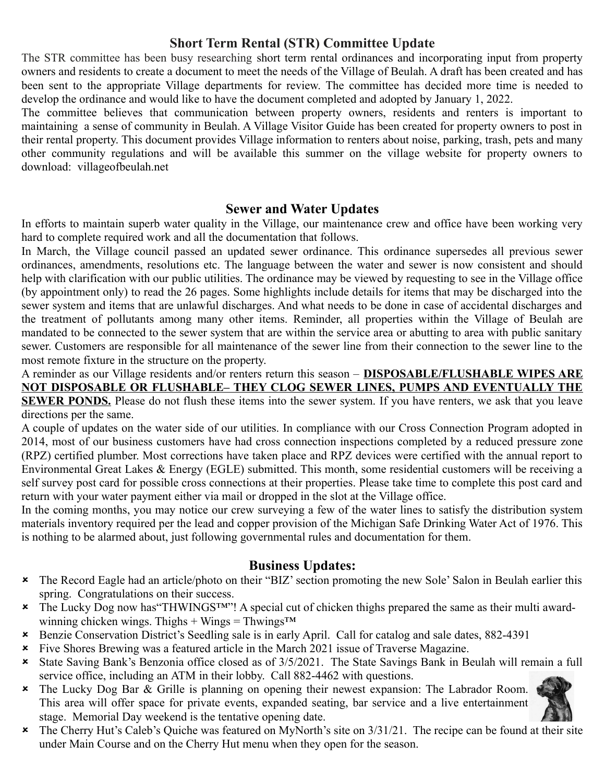### **Short Term Rental (STR) Committee Update**

The STR committee has been busy researching short term rental ordinances and incorporating input from property owners and residents to create a document to meet the needs of the Village of Beulah. A draft has been created and has been sent to the appropriate Village departments for review. The committee has decided more time is needed to develop the ordinance and would like to have the document completed and adopted by January 1, 2022.

The committee believes that communication between property owners, residents and renters is important to maintaining a sense of community in Beulah. A Village Visitor Guide has been created for property owners to post in their rental property. This document provides Village information to renters about noise, parking, trash, pets and many other community regulations and will be available this summer on the village website for property owners to download: villageofbeulah.net

#### **Sewer and Water Updates**

In efforts to maintain superb water quality in the Village, our maintenance crew and office have been working very hard to complete required work and all the documentation that follows.

In March, the Village council passed an updated sewer ordinance. This ordinance supersedes all previous sewer ordinances, amendments, resolutions etc. The language between the water and sewer is now consistent and should help with clarification with our public utilities. The ordinance may be viewed by requesting to see in the Village office (by appointment only) to read the 26 pages. Some highlights include details for items that may be discharged into the sewer system and items that are unlawful discharges. And what needs to be done in case of accidental discharges and the treatment of pollutants among many other items. Reminder, all properties within the Village of Beulah are mandated to be connected to the sewer system that are within the service area or abutting to area with public sanitary sewer. Customers are responsible for all maintenance of the sewer line from their connection to the sewer line to the most remote fixture in the structure on the property.

A reminder as our Village residents and/or renters return this season – **DISPOSABLE/FLUSHABLE WIPES ARE NOT DISPOSABLE OR FLUSHABLE– THEY CLOG SEWER LINES, PUMPS AND EVENTUALLY THE SEWER PONDS.** Please do not flush these items into the sewer system. If you have renters, we ask that you leave directions per the same.

A couple of updates on the water side of our utilities. In compliance with our Cross Connection Program adopted in 2014, most of our business customers have had cross connection inspections completed by a reduced pressure zone (RPZ) certified plumber. Most corrections have taken place and RPZ devices were certified with the annual report to Environmental Great Lakes & Energy (EGLE) submitted. This month, some residential customers will be receiving a self survey post card for possible cross connections at their properties. Please take time to complete this post card and return with your water payment either via mail or dropped in the slot at the Village office.

In the coming months, you may notice our crew surveying a few of the water lines to satisfy the distribution system materials inventory required per the lead and copper provision of the Michigan Safe Drinking Water Act of 1976. This is nothing to be alarmed about, just following governmental rules and documentation for them.

### **Business Updates:**

- The Record Eagle had an article/photo on their "BIZ' section promoting the new Sole' Salon in Beulah earlier this spring. Congratulations on their success.
- The Lucky Dog now has"THWINGS™"! A special cut of chicken thighs prepared the same as their multi awardwinning chicken wings. Thighs + Wings = Thwings<sup> $TM$ </sup>
- Benzie Conservation District's Seedling sale is in early April. Call for catalog and sale dates, 882-4391
- Five Shores Brewing was a featured article in the March 2021 issue of Traverse Magazine.
- State Saving Bank's Benzonia office closed as of 3/5/2021. The State Savings Bank in Beulah will remain a full service office, including an ATM in their lobby. Call 882-4462 with questions.
- The Lucky Dog Bar & Grille is planning on opening their newest expansion: The Labrador Room. This area will offer space for private events, expanded seating, bar service and a live entertainment stage. Memorial Day weekend is the tentative opening date.



 The Cherry Hut's Caleb's Quiche was featured on MyNorth's site on 3/31/21. The recipe can be found at their site under Main Course and on the Cherry Hut menu when they open for the season.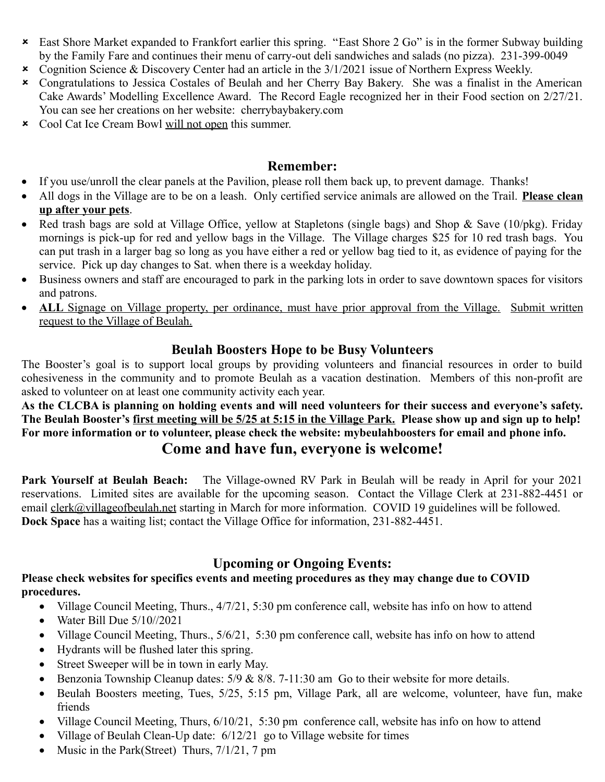- East Shore Market expanded to Frankfort earlier this spring. "East Shore 2 Go" is in the former Subway building by the Family Fare and continues their menu of carry-out deli sandwiches and salads (no pizza). 231-399-0049
- Cognition Science & Discovery Center had an article in the 3/1/2021 issue of Northern Express Weekly.
- Congratulations to Jessica Costales of Beulah and her Cherry Bay Bakery. She was a finalist in the American Cake Awards' Modelling Excellence Award. The Record Eagle recognized her in their Food section on 2/27/21. You can see her creations on her website: cherrybaybakery.com
- Cool Cat Ice Cream Bowl will not open this summer.

#### **Remember:**

- If you use/unroll the clear panels at the Pavilion, please roll them back up, to prevent damage. Thanks!
- All dogs in the Village are to be on a leash. Only certified service animals are allowed on the Trail. **Please clean up after your pets**.
- Red trash bags are sold at Village Office, yellow at Stapletons (single bags) and Shop & Save (10/pkg). Friday mornings is pick-up for red and yellow bags in the Village. The Village charges \$25 for 10 red trash bags. You can put trash in a larger bag so long as you have either a red or yellow bag tied to it, as evidence of paying for the service. Pick up day changes to Sat. when there is a weekday holiday.
- Business owners and staff are encouraged to park in the parking lots in order to save downtown spaces for visitors and patrons.
- ALL Signage on Village property, per ordinance, must have prior approval from the Village. Submit written request to the Village of Beulah.

#### **Beulah Boosters Hope to be Busy Volunteers**

The Booster's goal is to support local groups by providing volunteers and financial resources in order to build cohesiveness in the community and to promote Beulah as a vacation destination. Members of this non-profit are asked to volunteer on at least one community activity each year.

**As the CLCBA is planning on holding events and will need volunteers for their success and everyone's safety. The Beulah Booster's first meeting will be 5/25 at 5:15 in the Village Park. Please show up and sign up to help! For more information or to volunteer, please check the website: mybeulahboosters for email and phone info.** 

## **Come and have fun, everyone is welcome!**

**Park Yourself at Beulah Beach:** The Village-owned RV Park in Beulah will be ready in April for your 2021 reservations. Limited sites are available for the upcoming season. Contact the Village Clerk at 231-882-4451 or email clerk@villageofbeulah.net starting in March for more information. COVID 19 guidelines will be followed. **Dock Space** has a waiting list; contact the Village Office for information, 231-882-4451.

## **Upcoming or Ongoing Events:**

#### **Please check websites for specifics events and meeting procedures as they may change due to COVID procedures.**

- Village Council Meeting, Thurs., 4/7/21, 5:30 pm conference call, website has info on how to attend
- $\bullet$  Water Bill Due  $5/10/2021$
- Village Council Meeting, Thurs., 5/6/21, 5:30 pm conference call, website has info on how to attend
- Hydrants will be flushed later this spring.
- Street Sweeper will be in town in early May.
- **Benzonia Township Cleanup dates:**  $5/9$  **&**  $8/8$ **.**  $7-11:30$  am Go to their website for more details.
- Beulah Boosters meeting, Tues, 5/25, 5:15 pm, Village Park, all are welcome, volunteer, have fun, make friends
- Village Council Meeting, Thurs,  $6/10/21$ , 5:30 pm conference call, website has info on how to attend
- Village of Beulah Clean-Up date: 6/12/21 go to Village website for times
- Music in the Park(Street) Thurs, 7/1/21, 7 pm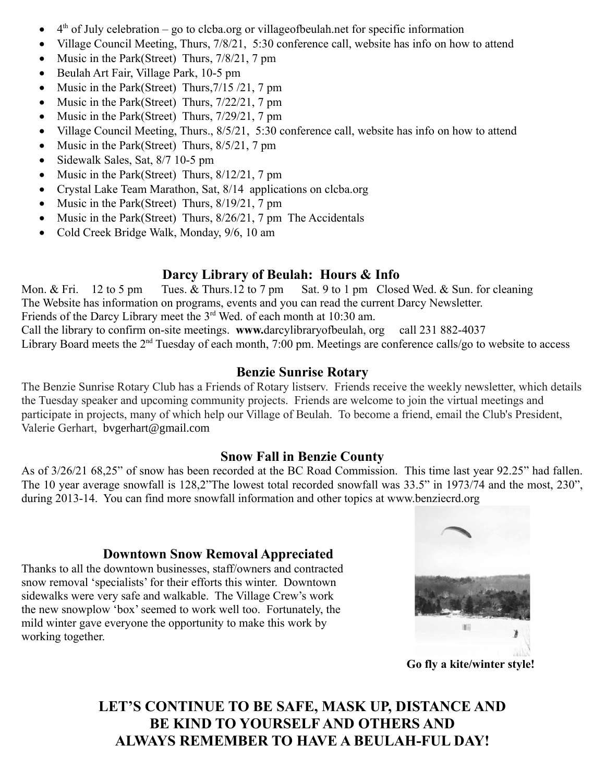- $\bullet$  4<sup>th</sup> of July celebration go to clcba.org or villageofbeulah.net for specific information
- Village Council Meeting, Thurs, 7/8/21, 5:30 conference call, website has info on how to attend
- Music in the Park(Street) Thurs, 7/8/21, 7 pm
- Beulah Art Fair, Village Park, 10-5 pm
- Music in the Park(Street) Thurs,  $7/15/21$ , 7 pm
- Music in the Park(Street) Thurs, 7/22/21, 7 pm
- Music in the Park(Street) Thurs, 7/29/21, 7 pm
- Village Council Meeting, Thurs., 8/5/21, 5:30 conference call, website has info on how to attend
- Music in the Park(Street) Thurs,  $8/5/21$ , 7 pm
- Sidewalk Sales, Sat, 8/7 10-5 pm
- Music in the Park(Street) Thurs, 8/12/21, 7 pm
- Crystal Lake Team Marathon, Sat, 8/14 applications on clcba.org
- Music in the Park(Street) Thurs,  $8/19/21$ ,  $7 \text{ pm}$
- Music in the Park(Street) Thurs, 8/26/21, 7 pm The Accidentals
- Cold Creek Bridge Walk, Monday, 9/6, 10 am

### **Darcy Library of Beulah: Hours & Info**

Mon. & Fri. 12 to 5 pm Tues. & Thurs. 12 to 7 pm Sat. 9 to 1 pm Closed Wed. & Sun. for cleaning The Website has information on programs, events and you can read the current Darcy Newsletter. Friends of the Darcy Library meet the 3rd Wed. of each month at 10:30 am. Call the library to confirm on-site meetings. **www.**[darcylibraryofbeulah, org](http://www.darcylibraryofbeulah.ploud.net/) call 231 882-4037 Library Board meets the 2<sup>nd</sup> Tuesday of each month, 7:00 pm. Meetings are conference calls/go to website to access

### **Benzie Sunrise Rotary**

The Benzie Sunrise Rotary Club has a Friends of Rotary listserv. Friends receive the weekly newsletter, which details the Tuesday speaker and upcoming community projects. Friends are welcome to join the virtual meetings and participate in projects, many of which help our Village of Beulah. To become a friend, email the Club's President, Valerie Gerhart, [bvgerhart@gmail.com](mailto:bvgerhart@gmail.com)

### **Snow Fall in Benzie County**

As of 3/26/21 68,25" of snow has been recorded at the BC Road Commission. This time last year 92.25" had fallen. The 10 year average snowfall is 128,2"The lowest total recorded snowfall was 33.5" in 1973/74 and the most, 230", during 2013-14. You can find more snowfall information and other topics at [www.benziecrd.org](http://www.benziecrd.org/)

#### **Downtown Snow Removal Appreciated**

Thanks to all the downtown businesses, staff/owners and contracted snow removal 'specialists' for their efforts this winter. Downtown sidewalks were very safe and walkable. The Village Crew's work the new snowplow 'box' seemed to work well too. Fortunately, the mild winter gave everyone the opportunity to make this work by working together.



**Go fly a kite/winter style!**

# **LET'S CONTINUE TO BE SAFE, MASK UP, DISTANCE AND BE KIND TO YOURSELF AND OTHERS AND ALWAYS REMEMBER TO HAVE A BEULAH-FUL DAY!**